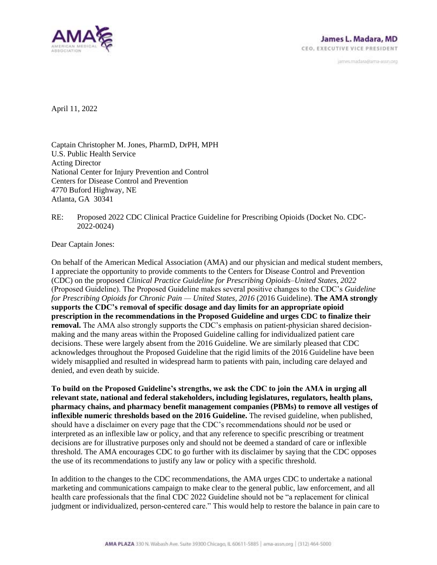

janves.madara@ama-assn.org

April 11, 2022

Captain Christopher M. Jones, PharmD, DrPH, MPH U.S. Public Health Service Acting Director National Center for Injury Prevention and Control Centers for Disease Control and Prevention 4770 Buford Highway, NE Atlanta, GA 30341

RE: Proposed 2022 CDC Clinical Practice Guideline for Prescribing Opioids (Docket No. CDC-2022-0024)

Dear Captain Jones:

On behalf of the American Medical Association (AMA) and our physician and medical student members, I appreciate the opportunity to provide comments to the Centers for Disease Control and Prevention (CDC) on the proposed *Clinical Practice Guideline for Prescribing Opioids–United States, 2022* (Proposed Guideline). The Proposed Guideline makes several positive changes to the CDC's *Guideline for Prescribing Opioids for Chronic Pain — United States, 2016* (2016 Guideline). **The AMA strongly supports the CDC's removal of specific dosage and day limits for an appropriate opioid prescription in the recommendations in the Proposed Guideline and urges CDC to finalize their removal.** The AMA also strongly supports the CDC's emphasis on patient-physician shared decisionmaking and the many areas within the Proposed Guideline calling for individualized patient care decisions. These were largely absent from the 2016 Guideline. We are similarly pleased that CDC acknowledges throughout the Proposed Guideline that the rigid limits of the 2016 Guideline have been widely misapplied and resulted in widespread harm to patients with pain, including care delayed and denied, and even death by suicide.

**To build on the Proposed Guideline's strengths, we ask the CDC to join the AMA in urging all relevant state, national and federal stakeholders, including legislatures, regulators, health plans, pharmacy chains, and pharmacy benefit management companies (PBMs) to remove all vestiges of inflexible numeric thresholds based on the 2016 Guideline.** The revised guideline, when published, should have a disclaimer on every page that the CDC's recommendations should *not* be used or interpreted as an inflexible law or policy, and that any reference to specific prescribing or treatment decisions are for illustrative purposes only and should not be deemed a standard of care or inflexible threshold. The AMA encourages CDC to go further with its disclaimer by saying that the CDC opposes the use of its recommendations to justify any law or policy with a specific threshold.

In addition to the changes to the CDC recommendations, the AMA urges CDC to undertake a national marketing and communications campaign to make clear to the general public, law enforcement, and all health care professionals that the final CDC 2022 Guideline should not be "a replacement for clinical judgment or individualized, person-centered care." This would help to restore the balance in pain care to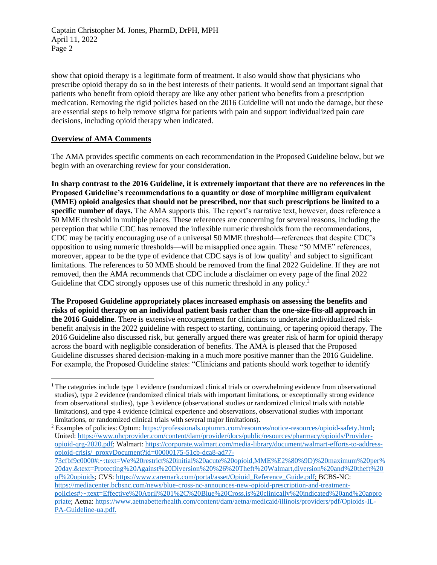show that opioid therapy is a legitimate form of treatment. It also would show that physicians who prescribe opioid therapy do so in the best interests of their patients. It would send an important signal that patients who benefit from opioid therapy are like any other patient who benefits from a prescription medication. Removing the rigid policies based on the 2016 Guideline will not undo the damage, but these are essential steps to help remove stigma for patients with pain and support individualized pain care decisions, including opioid therapy when indicated.

## **Overview of AMA Comments**

The AMA provides specific comments on each recommendation in the Proposed Guideline below, but we begin with an overarching review for your consideration.

**In sharp contrast to the 2016 Guideline, it is extremely important that there are no references in the Proposed Guideline's recommendations to a quantity or dose of morphine milligram equivalent (MME) opioid analgesics that should not be prescribed, nor that such prescriptions be limited to a specific number of days.** The AMA supports this. The report's narrative text, however, does reference a 50 MME threshold in multiple places. These references are concerning for several reasons, including the perception that while CDC has removed the inflexible numeric thresholds from the recommendations, CDC may be tacitly encouraging use of a universal 50 MME threshold—references that despite CDC's opposition to using numeric thresholds—will be misapplied once again. These "50 MME" references, moreover, appear to be the type of evidence that CDC says is of low quality<sup>1</sup> and subject to significant limitations. The references to 50 MME should be removed from the final 2022 Guideline. If they are not removed, then the AMA recommends that CDC include a disclaimer on every page of the final 2022 Guideline that CDC strongly opposes use of this numeric threshold in any policy.<sup>2</sup>

**The Proposed Guideline appropriately places increased emphasis on assessing the benefits and risks of opioid therapy on an individual patient basis rather than the one-size-fits-all approach in the 2016 Guideline**. There is extensive encouragement for clinicians to undertake individualized riskbenefit analysis in the 2022 guideline with respect to starting, continuing, or tapering opioid therapy. The 2016 Guideline also discussed risk, but generally argued there was greater risk of harm for opioid therapy across the board with negligible consideration of benefits. The AMA is pleased that the Proposed Guideline discusses shared decision-making in a much more positive manner than the 2016 Guideline. For example, the Proposed Guideline states: "Clinicians and patients should work together to identify

 $1$ The categories include type 1 evidence (randomized clinical trials or overwhelming evidence from observational studies), type 2 evidence (randomized clinical trials with important limitations, or exceptionally strong evidence from observational studies), type 3 evidence (observational studies or randomized clinical trials with notable limitations), and type 4 evidence (clinical experience and observations, observational studies with important limitations, or randomized clinical trials with several major limitations).

<sup>&</sup>lt;sup>2</sup> Examples of policies: Optum: [https://professionals.optumrx.com/resources/notice-resources/opioid-safety.html;](https://professionals.optumrx.com/resources/notice-resources/opioid-safety.html) United: [https://www.uhcprovider.com/content/dam/provider/docs/public/resources/pharmacy/opioids/Provider](https://www.uhcprovider.com/content/dam/provider/docs/public/resources/pharmacy/opioids/Provider-opioid-qrg-2020.pdf)[opioid-qrg-2020.pdf;](https://www.uhcprovider.com/content/dam/provider/docs/public/resources/pharmacy/opioids/Provider-opioid-qrg-2020.pdf) Walmart[: https://corporate.walmart.com/media-library/document/walmart-efforts-to-address](https://corporate.walmart.com/media-library/document/walmart-efforts-to-address-opioid-crisis/_proxyDocument?id=00000175-51cb-dca8-ad77-73cfbf9c0000#:~:text=We%20restrict%20initial%20acute%20opioid,MME%E2%80%9D)%20maximum%20per%20day.&text=Protecting%20Against%20Diversion%20%26%20Theft%20Walmart,diversion%20and%20theft%20of%20opioids)[opioid-crisis/\\_proxyDocument?id=00000175-51cb-dca8-ad77-](https://corporate.walmart.com/media-library/document/walmart-efforts-to-address-opioid-crisis/_proxyDocument?id=00000175-51cb-dca8-ad77-73cfbf9c0000#:~:text=We%20restrict%20initial%20acute%20opioid,MME%E2%80%9D)%20maximum%20per%20day.&text=Protecting%20Against%20Diversion%20%26%20Theft%20Walmart,diversion%20and%20theft%20of%20opioids)

[<sup>73</sup>cfbf9c0000#:~:text=We%20restrict%20initial%20acute%20opioid,MME%E2%80%9D\)%20maximum%20per%](https://corporate.walmart.com/media-library/document/walmart-efforts-to-address-opioid-crisis/_proxyDocument?id=00000175-51cb-dca8-ad77-73cfbf9c0000#:~:text=We%20restrict%20initial%20acute%20opioid,MME%E2%80%9D)%20maximum%20per%20day.&text=Protecting%20Against%20Diversion%20%26%20Theft%20Walmart,diversion%20and%20theft%20of%20opioids) [20day.&text=Protecting%20Against%20Diversion%20%26%20Theft%20Walmart,diversion%20and%20theft%20](https://corporate.walmart.com/media-library/document/walmart-efforts-to-address-opioid-crisis/_proxyDocument?id=00000175-51cb-dca8-ad77-73cfbf9c0000#:~:text=We%20restrict%20initial%20acute%20opioid,MME%E2%80%9D)%20maximum%20per%20day.&text=Protecting%20Against%20Diversion%20%26%20Theft%20Walmart,diversion%20and%20theft%20of%20opioids) [of%20opioids;](https://corporate.walmart.com/media-library/document/walmart-efforts-to-address-opioid-crisis/_proxyDocument?id=00000175-51cb-dca8-ad77-73cfbf9c0000#:~:text=We%20restrict%20initial%20acute%20opioid,MME%E2%80%9D)%20maximum%20per%20day.&text=Protecting%20Against%20Diversion%20%26%20Theft%20Walmart,diversion%20and%20theft%20of%20opioids) CVS[: https://www.caremark.com/portal/asset/Opioid\\_Reference\\_Guide.pdf;](https://www.caremark.com/portal/asset/Opioid_Reference_Guide.pdf) BCBS-NC: [https://mediacenter.bcbsnc.com/news/blue-cross-nc-announces-new-opioid-prescription-and-treatment](https://mediacenter.bcbsnc.com/news/blue-cross-nc-announces-new-opioid-prescription-and-treatment-policies#:~:text=Effective%20April%201%2C%20Blue%20Cross,is%20clinically%20indicated%20and%20appropriate)[policies#:~:text=Effective%20April%201%2C%20Blue%20Cross,is%20clinically%20indicated%20and%20appro](https://mediacenter.bcbsnc.com/news/blue-cross-nc-announces-new-opioid-prescription-and-treatment-policies#:~:text=Effective%20April%201%2C%20Blue%20Cross,is%20clinically%20indicated%20and%20appropriate) [priate;](https://mediacenter.bcbsnc.com/news/blue-cross-nc-announces-new-opioid-prescription-and-treatment-policies#:~:text=Effective%20April%201%2C%20Blue%20Cross,is%20clinically%20indicated%20and%20appropriate) Aetna[: https://www.aetnabetterhealth.com/content/dam/aetna/medicaid/illinois/providers/pdf/Opioids-IL-](https://www.aetnabetterhealth.com/content/dam/aetna/medicaid/illinois/providers/pdf/Opioids-IL-PA-Guideline-ua.pdf)[PA-Guideline-ua.pdf.](https://www.aetnabetterhealth.com/content/dam/aetna/medicaid/illinois/providers/pdf/Opioids-IL-PA-Guideline-ua.pdf)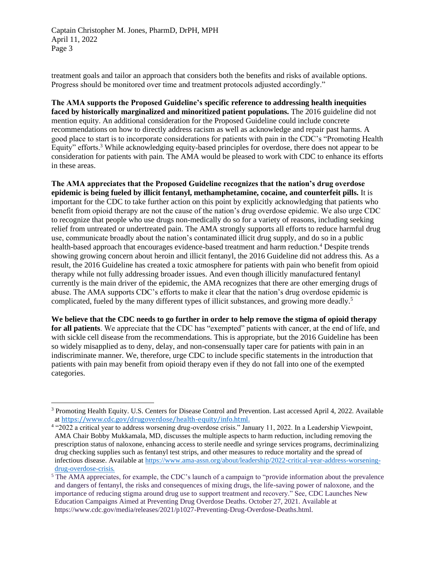treatment goals and tailor an approach that considers both the benefits and risks of available options. Progress should be monitored over time and treatment protocols adjusted accordingly."

**The AMA supports the Proposed Guideline's specific reference to addressing health inequities faced by historically marginalized and minoritized patient populations.** The 2016 guideline did not mention equity. An additional consideration for the Proposed Guideline could include concrete recommendations on how to directly address racism as well as acknowledge and repair past harms. A good place to start is to incorporate considerations for patients with pain in the CDC's "Promoting Health Equity" efforts.<sup>3</sup> While acknowledging equity-based principles for overdose, there does not appear to be consideration for patients with pain. The AMA would be pleased to work with CDC to enhance its efforts in these areas.

**The AMA appreciates that the Proposed Guideline recognizes that the nation's drug overdose epidemic is being fueled by illicit fentanyl, methamphetamine, cocaine, and counterfeit pills.** It is important for the CDC to take further action on this point by explicitly acknowledging that patients who benefit from opioid therapy are not the cause of the nation's drug overdose epidemic. We also urge CDC to recognize that people who use drugs non-medically do so for a variety of reasons, including seeking relief from untreated or undertreated pain. The AMA strongly supports all efforts to reduce harmful drug use, communicate broadly about the nation's contaminated illicit drug supply, and do so in a public health-based approach that encourages evidence-based treatment and harm reduction.<sup>4</sup> Despite trends showing growing concern about heroin and illicit fentanyl, the 2016 Guideline did not address this. As a result, the 2016 Guideline has created a toxic atmosphere for patients with pain who benefit from opioid therapy while not fully addressing broader issues. And even though illicitly manufactured fentanyl currently is the main driver of the epidemic, the AMA recognizes that there are other emerging drugs of abuse. The AMA supports CDC's efforts to make it clear that the nation's drug overdose epidemic is complicated, fueled by the many different types of illicit substances, and growing more deadly.<sup>5</sup>

**We believe that the CDC needs to go further in order to help remove the stigma of opioid therapy for all patients**. We appreciate that the CDC has "exempted" patients with cancer, at the end of life, and with sickle cell disease from the recommendations. This is appropriate, but the 2016 Guideline has been so widely misapplied as to deny, delay, and non-consensually taper care for patients with pain in an indiscriminate manner. We, therefore, urge CDC to include specific statements in the introduction that patients with pain may benefit from opioid therapy even if they do not fall into one of the exempted categories.

<sup>3</sup> Promoting Health Equity. U.S. Centers for Disease Control and Prevention. Last accessed April 4, 2022. Available at [https://www.cdc.gov/drugoverdose/health-equity/info.html.](https://www.cdc.gov/drugoverdose/health-equity/info.html)

<sup>4</sup> "2022 a critical year to address worsening drug-overdose crisis." January 11, 2022. In a Leadership Viewpoint, AMA Chair Bobby Mukkamala, MD, discusses the multiple aspects to harm reduction, including removing the prescription status of naloxone, enhancing access to sterile needle and syringe services programs, decriminalizing drug checking supplies such as fentanyl test strips, and other measures to reduce mortality and the spread of infectious disease. Available at [https://www.ama-assn.org/about/leadership/2022-critical-year-address-worsening](https://www.ama-assn.org/about/leadership/2022-critical-year-address-worsening-drug-overdose-crisis)[drug-overdose-crisis](https://www.ama-assn.org/about/leadership/2022-critical-year-address-worsening-drug-overdose-crisis).

<sup>&</sup>lt;sup>5</sup> The AMA appreciates, for example, the CDC's launch of a campaign to "provide information about the prevalence and dangers of fentanyl, the risks and consequences of mixing drugs, the life-saving power of naloxone, and the importance of reducing stigma around drug use to support treatment and recovery." See, CDC Launches New Education Campaigns Aimed at Preventing Drug Overdose Deaths. October 27, 2021. Available at https://www.cdc.gov/media/releases/2021/p1027-Preventing-Drug-Overdose-Deaths.html.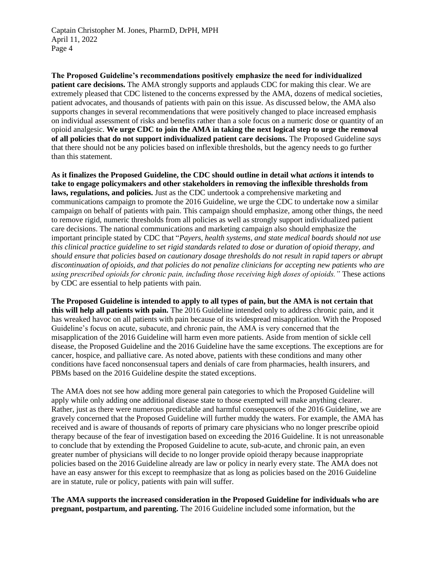**The Proposed Guideline's recommendations positively emphasize the need for individualized patient care decisions.** The AMA strongly supports and applauds CDC for making this clear. We are extremely pleased that CDC listened to the concerns expressed by the AMA, dozens of medical societies, patient advocates, and thousands of patients with pain on this issue. As discussed below, the AMA also supports changes in several recommendations that were positively changed to place increased emphasis on individual assessment of risks and benefits rather than a sole focus on a numeric dose or quantity of an opioid analgesic. **We urge CDC to join the AMA in taking the next logical step to urge the removal of all policies that do not support individualized patient care decisions.** The Proposed Guideline *says* that there should not be any policies based on inflexible thresholds, but the agency needs to go further than this statement.

**As it finalizes the Proposed Guideline, the CDC should outline in detail what** *action***s it intends to take to engage policymakers and other stakeholders in removing the inflexible thresholds from laws, regulations, and policies.** Just as the CDC undertook a comprehensive marketing and communications campaign to promote the 2016 Guideline, we urge the CDC to undertake now a similar campaign on behalf of patients with pain. This campaign should emphasize, among other things, the need to remove rigid, numeric thresholds from all policies as well as strongly support individualized patient care decisions. The national communications and marketing campaign also should emphasize the important principle stated by CDC that "*Payers, health systems, and state medical boards should not use this clinical practice guideline to set rigid standards related to dose or duration of opioid therapy, and should ensure that policies based on cautionary dosage thresholds do not result in rapid tapers or abrupt discontinuation of opioids, and that policies do not penalize clinicians for accepting new patients who are using prescribed opioids for chronic pain, including those receiving high doses of opioids."* These actions by CDC are essential to help patients with pain.

**The Proposed Guideline is intended to apply to all types of pain, but the AMA is not certain that this will help all patients with pain.** The 2016 Guideline intended only to address chronic pain, and it has wreaked havoc on all patients with pain because of its widespread misapplication. With the Proposed Guideline's focus on acute, subacute, and chronic pain, the AMA is very concerned that the misapplication of the 2016 Guideline will harm even more patients. Aside from mention of sickle cell disease, the Proposed Guideline and the 2016 Guideline have the same exceptions. The exceptions are for cancer, hospice, and palliative care. As noted above, patients with these conditions and many other conditions have faced nonconsensual tapers and denials of care from pharmacies, health insurers, and PBMs based on the 2016 Guideline despite the stated exceptions.

The AMA does not see how adding more general pain categories to which the Proposed Guideline will apply while only adding one additional disease state to those exempted will make anything clearer. Rather, just as there were numerous predictable and harmful consequences of the 2016 Guideline, we are gravely concerned that the Proposed Guideline will further muddy the waters. For example, the AMA has received and is aware of thousands of reports of primary care physicians who no longer prescribe opioid therapy because of the fear of investigation based on exceeding the 2016 Guideline. It is not unreasonable to conclude that by extending the Proposed Guideline to acute, sub-acute, and chronic pain, an even greater number of physicians will decide to no longer provide opioid therapy because inappropriate policies based on the 2016 Guideline already are law or policy in nearly every state. The AMA does not have an easy answer for this except to reemphasize that as long as policies based on the 2016 Guideline are in statute, rule or policy, patients with pain will suffer.

**The AMA supports the increased consideration in the Proposed Guideline for individuals who are pregnant, postpartum, and parenting.** The 2016 Guideline included some information, but the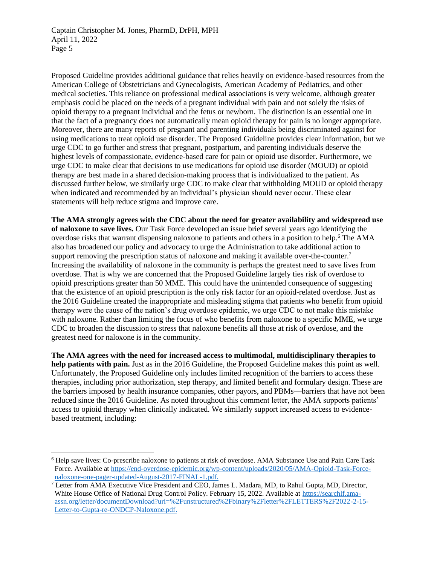Proposed Guideline provides additional guidance that relies heavily on evidence-based resources from the American College of Obstetricians and Gynecologists, American Academy of Pediatrics, and other medical societies. This reliance on professional medical associations is very welcome, although greater emphasis could be placed on the needs of a pregnant individual with pain and not solely the risks of opioid therapy to a pregnant individual and the fetus or newborn. The distinction is an essential one in that the fact of a pregnancy does not automatically mean opioid therapy for pain is no longer appropriate. Moreover, there are many reports of pregnant and parenting individuals being discriminated against for using medications to treat opioid use disorder. The Proposed Guideline provides clear information, but we urge CDC to go further and stress that pregnant, postpartum, and parenting individuals deserve the highest levels of compassionate, evidence-based care for pain or opioid use disorder. Furthermore, we urge CDC to make clear that decisions to use medications for opioid use disorder (MOUD) or opioid therapy are best made in a shared decision-making process that is individualized to the patient. As discussed further below, we similarly urge CDC to make clear that withholding MOUD or opioid therapy when indicated and recommended by an individual's physician should never occur. These clear statements will help reduce stigma and improve care.

**The AMA strongly agrees with the CDC about the need for greater availability and widespread use of naloxone to save lives.** Our Task Force developed an issue brief several years ago identifying the overdose risks that warrant dispensing naloxone to patients and others in a position to help.<sup>6</sup> The AMA also has broadened our policy and advocacy to urge the Administration to take additional action to support removing the prescription status of naloxone and making it available over-the-counter.<sup>7</sup> Increasing the availability of naloxone in the community is perhaps the greatest need to save lives from overdose. That is why we are concerned that the Proposed Guideline largely ties risk of overdose to opioid prescriptions greater than 50 MME. This could have the unintended consequence of suggesting that the existence of an opioid prescription is the only risk factor for an opioid-related overdose. Just as the 2016 Guideline created the inappropriate and misleading stigma that patients who benefit from opioid therapy were the cause of the nation's drug overdose epidemic, we urge CDC to not make this mistake with naloxone. Rather than limiting the focus of who benefits from naloxone to a specific MME, we urge CDC to broaden the discussion to stress that naloxone benefits all those at risk of overdose, and the greatest need for naloxone is in the community.

**The AMA agrees with the need for increased access to multimodal, multidisciplinary therapies to help patients with pain.** Just as in the 2016 Guideline, the Proposed Guideline makes this point as well. Unfortunately, the Proposed Guideline only includes limited recognition of the barriers to access these therapies, including prior authorization, step therapy, and limited benefit and formulary design. These are the barriers imposed by health insurance companies, other payors, and PBMs—barriers that have not been reduced since the 2016 Guideline. As noted throughout this comment letter, the AMA supports patients' access to opioid therapy when clinically indicated. We similarly support increased access to evidencebased treatment, including:

<sup>6</sup> Help save lives: Co-prescribe naloxone to patients at risk of overdose. AMA Substance Use and Pain Care Task Force. Available at [https://end-overdose-epidemic.org/wp-content/uploads/2020/05/AMA-Opioid-Task-Force](https://end-overdose-epidemic.org/wp-content/uploads/2020/05/AMA-Opioid-Task-Force-naloxone-one-pager-updated-August-2017-FINAL-1.pdf)[naloxone-one-pager-updated-August-2017-FINAL-1.pdf](https://end-overdose-epidemic.org/wp-content/uploads/2020/05/AMA-Opioid-Task-Force-naloxone-one-pager-updated-August-2017-FINAL-1.pdf).

 $^7$  Letter from AMA Executive Vice President and CEO, James L. Madara, MD, to Rahul Gupta, MD, Director, White House Office of National Drug Control Policy. February 15, 2022. Available at [https://searchlf.ama](https://searchlf.ama-assn.org/letter/documentDownload?uri=%2Funstructured%2Fbinary%2Fletter%2FLETTERS%2F2022-2-15-Letter-to-Gupta-re-ONDCP-Naloxone.pdf)[assn.org/letter/documentDownload?uri=%2Funstructured%2Fbinary%2Fletter%2FLETTERS%2F2022-2-15-](https://searchlf.ama-assn.org/letter/documentDownload?uri=%2Funstructured%2Fbinary%2Fletter%2FLETTERS%2F2022-2-15-Letter-to-Gupta-re-ONDCP-Naloxone.pdf) [Letter-to-Gupta-re-ONDCP-Naloxone.pdf.](https://searchlf.ama-assn.org/letter/documentDownload?uri=%2Funstructured%2Fbinary%2Fletter%2FLETTERS%2F2022-2-15-Letter-to-Gupta-re-ONDCP-Naloxone.pdf)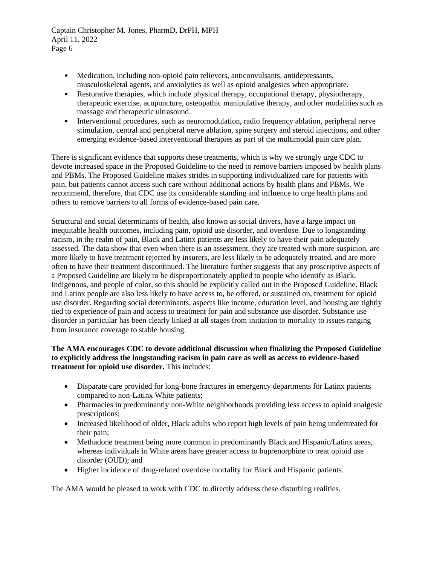- Medication, including non-opioid pain relievers, anticonvulsants, antidepressants, musculoskeletal agents, and anxiolytics as well as opioid analgesics when appropriate.
- Restorative therapies, which include physical therapy, occupational therapy, physiotherapy, therapeutic exercise, acupuncture, osteopathic manipulative therapy, and other modalities such as massage and therapeutic ultrasound.
- Interventional procedures, such as neuromodulation, radio frequency ablation, peripheral nerve stimulation, central and peripheral nerve ablation, spine surgery and steroid injections, and other emerging evidence-based interventional therapies as part of the multimodal pain care plan.

There is significant evidence that supports these treatments, which is why we strongly urge CDC to devote increased space in the Proposed Guideline to the need to remove barriers imposed by health plans and PBMs. The Proposed Guideline makes strides in supporting individualized care for patients with pain, but patients cannot access such care without additional actions by health plans and PBMs. We recommend, therefore, that CDC use its considerable standing and influence to urge health plans and others to remove barriers to all forms of evidence-based pain care.

Structural and social determinants of health, also known as social drivers, have a large impact on inequitable health outcomes, including pain, opioid use disorder, and overdose. Due to longstanding racism, in the realm of pain, Black and Latinx patients are less likely to have their pain adequately assessed. The data show that even when there is an assessment, they are treated with more suspicion, are more likely to have treatment rejected by insurers, are less likely to be adequately treated, and are more often to have their treatment discontinued. The literature further suggests that any proscriptive aspects of a Proposed Guideline are likely to be disproportionately applied to people who identify as Black, Indigenous, and people of color, so this should be explicitly called out in the Proposed Guideline. Black and Latinx people are also less likely to have access to, be offered, or sustained on, treatment for opioid use disorder. Regarding social determinants, aspects like income, education level, and housing are tightly tied to experience of pain and access to treatment for pain and substance use disorder. Substance use disorder in particular has been clearly linked at all stages from initiation to mortality to issues ranging from insurance coverage to stable housing.

# **The AMA encourages CDC to devote additional discussion when finalizing the Proposed Guideline to explicitly address the longstanding racism in pain care as well as access to evidence-based treatment for opioid use disorder.** This includes:

- Disparate care provided for long-bone fractures in emergency departments for Latinx patients compared to non-Latinx White patients;
- Pharmacies in predominantly non-White neighborhoods providing less access to opioid analgesic prescriptions;
- Increased likelihood of older, Black adults who report high levels of pain being undertreated for their pain;
- Methadone treatment being more common in predominantly Black and Hispanic/Latinx areas, whereas individuals in White areas have greater access to buprenorphine to treat opioid use disorder (OUD); and
- Higher incidence of drug-related overdose mortality for Black and Hispanic patients.

The AMA would be pleased to work with CDC to directly address these disturbing realities.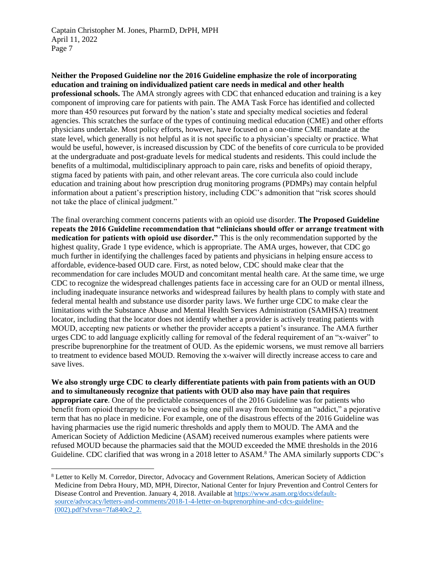**Neither the Proposed Guideline nor the 2016 Guideline emphasize the role of incorporating education and training on individualized patient care needs in medical and other health professional schools.** The AMA strongly agrees with CDC that enhanced education and training is a key component of improving care for patients with pain. The AMA Task Force has identified and collected more than 450 resources put forward by the nation's state and specialty medical societies and federal agencies. This scratches the surface of the types of continuing medical education (CME) and other efforts physicians undertake. Most policy efforts, however, have focused on a one-time CME mandate at the state level, which generally is not helpful as it is not specific to a physician's specialty or practice. What would be useful, however, is increased discussion by CDC of the benefits of core curricula to be provided at the undergraduate and post-graduate levels for medical students and residents. This could include the benefits of a multimodal, multidisciplinary approach to pain care, risks and benefits of opioid therapy, stigma faced by patients with pain, and other relevant areas. The core curricula also could include education and training about how prescription drug monitoring programs (PDMPs) may contain helpful information about a patient's prescription history, including CDC's admonition that "risk scores should not take the place of clinical judgment."

The final overarching comment concerns patients with an opioid use disorder. **The Proposed Guideline repeats the 2016 Guideline recommendation that "clinicians should offer or arrange treatment with medication for patients with opioid use disorder."** This is the only recommendation supported by the highest quality, Grade 1 type evidence, which is appropriate. The AMA urges, however, that CDC go much further in identifying the challenges faced by patients and physicians in helping ensure access to affordable, evidence-based OUD care. First, as noted below, CDC should make clear that the recommendation for care includes MOUD and concomitant mental health care. At the same time, we urge CDC to recognize the widespread challenges patients face in accessing care for an OUD or mental illness, including inadequate insurance networks and widespread failures by health plans to comply with state and federal mental health and substance use disorder parity laws. We further urge CDC to make clear the limitations with the Substance Abuse and Mental Health Services Administration (SAMHSA) treatment locator, including that the locator does not identify whether a provider is actively treating patients with MOUD, accepting new patients or whether the provider accepts a patient's insurance. The AMA further urges CDC to add language explicitly calling for removal of the federal requirement of an "x-waiver" to prescribe buprenorphine for the treatment of OUD. As the epidemic worsens, we must remove all barriers to treatment to evidence based MOUD. Removing the x-waiver will directly increase access to care and save lives.

**We also strongly urge CDC to clearly differentiate patients with pain from patients with an OUD and to simultaneously recognize that patients with OUD also may have pain that requires appropriate care**. One of the predictable consequences of the 2016 Guideline was for patients who benefit from opioid therapy to be viewed as being one pill away from becoming an "addict," a pejorative term that has no place in medicine. For example, one of the disastrous effects of the 2016 Guideline was having pharmacies use the rigid numeric thresholds and apply them to MOUD. The AMA and the American Society of Addiction Medicine (ASAM) received numerous examples where patients were refused MOUD because the pharmacies said that the MOUD exceeded the MME thresholds in the 2016 Guideline. CDC clarified that was wrong in a 2018 letter to ASAM.<sup>8</sup> The AMA similarly supports CDC's

<sup>8</sup> Letter to Kelly M. Corredor, Director, Advocacy and Government Relations, American Society of Addiction Medicine from Debra Houry, MD, MPH, Director, National Center for Injury Prevention and Control Centers for Disease Control and Prevention. January 4, 2018. Available at [https://www.asam.org/docs/default](https://www.asam.org/docs/default-source/advocacy/letters-and-comments/2018-1-4-letter-on-buprenorphine-and-cdcs-guideline-(002).pdf?sfvrsn=7fa840c2_2)[source/advocacy/letters-and-comments/2018-1-4-letter-on-buprenorphine-and-cdcs-guideline-](https://www.asam.org/docs/default-source/advocacy/letters-and-comments/2018-1-4-letter-on-buprenorphine-and-cdcs-guideline-(002).pdf?sfvrsn=7fa840c2_2) [\(002\).pdf?sfvrsn=7fa840c2\\_2.](https://www.asam.org/docs/default-source/advocacy/letters-and-comments/2018-1-4-letter-on-buprenorphine-and-cdcs-guideline-(002).pdf?sfvrsn=7fa840c2_2)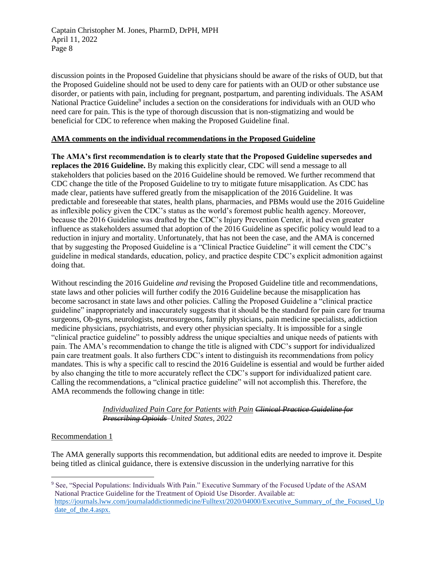discussion points in the Proposed Guideline that physicians should be aware of the risks of OUD, but that the Proposed Guideline should not be used to deny care for patients with an OUD or other substance use disorder, or patients with pain, including for pregnant, postpartum, and parenting individuals. The ASAM National Practice Guideline<sup>9</sup> includes a section on the considerations for individuals with an OUD who need care for pain. This is the type of thorough discussion that is non-stigmatizing and would be beneficial for CDC to reference when making the Proposed Guideline final.

## **AMA comments on the individual recommendations in the Proposed Guideline**

**The AMA's first recommendation is to clearly state that the Proposed Guideline supersedes and replaces the 2016 Guideline.** By making this explicitly clear, CDC will send a message to all stakeholders that policies based on the 2016 Guideline should be removed. We further recommend that CDC change the title of the Proposed Guideline to try to mitigate future misapplication. As CDC has made clear, patients have suffered greatly from the misapplication of the 2016 Guideline. It was predictable and foreseeable that states, health plans, pharmacies, and PBMs would use the 2016 Guideline as inflexible policy given the CDC's status as the world's foremost public health agency. Moreover, because the 2016 Guideline was drafted by the CDC's Injury Prevention Center, it had even greater influence as stakeholders assumed that adoption of the 2016 Guideline as specific policy would lead to a reduction in injury and mortality. Unfortunately, that has not been the case, and the AMA is concerned that by suggesting the Proposed Guideline is a "Clinical Practice Guideline" it will cement the CDC's guideline in medical standards, education, policy, and practice despite CDC's explicit admonition against doing that.

Without rescinding the 2016 Guideline *and* revising the Proposed Guideline title and recommendations, state laws and other policies will further codify the 2016 Guideline because the misapplication has become sacrosanct in state laws and other policies. Calling the Proposed Guideline a "clinical practice guideline" inappropriately and inaccurately suggests that it should be the standard for pain care for trauma surgeons, Ob-gyns, neurologists, neurosurgeons, family physicians, pain medicine specialists, addiction medicine physicians, psychiatrists, and every other physician specialty. It is impossible for a single "clinical practice guideline" to possibly address the unique specialties and unique needs of patients with pain. The AMA's recommendation to change the title is aligned with CDC's support for individualized pain care treatment goals. It also furthers CDC's intent to distinguish its recommendations from policy mandates. This is why a specific call to rescind the 2016 Guideline is essential and would be further aided by also changing the title to more accurately reflect the CDC's support for individualized patient care. Calling the recommendations, a "clinical practice guideline" will not accomplish this. Therefore, the AMA recommends the following change in title:

## *Individualized Pain Care for Patients with Pain Clinical Practice Guideline for Prescribing Opioids–United States, 2022*

# Recommendation 1

The AMA generally supports this recommendation, but additional edits are needed to improve it. Despite being titled as clinical guidance, there is extensive discussion in the underlying narrative for this

<sup>9</sup> See, "Special Populations: Individuals With Pain." Executive Summary of the Focused Update of the ASAM National Practice Guideline for the Treatment of Opioid Use Disorder. Available at: [https://journals.lww.com/journaladdictionmedicine/Fulltext/2020/04000/Executive\\_Summary\\_of\\_the\\_Focused\\_Up](https://journals.lww.com/journaladdictionmedicine/Fulltext/2020/04000/Executive_Summary_of_the_Focused_Update_of_the.4.aspx) [date\\_of\\_the.4.aspx.](https://journals.lww.com/journaladdictionmedicine/Fulltext/2020/04000/Executive_Summary_of_the_Focused_Update_of_the.4.aspx)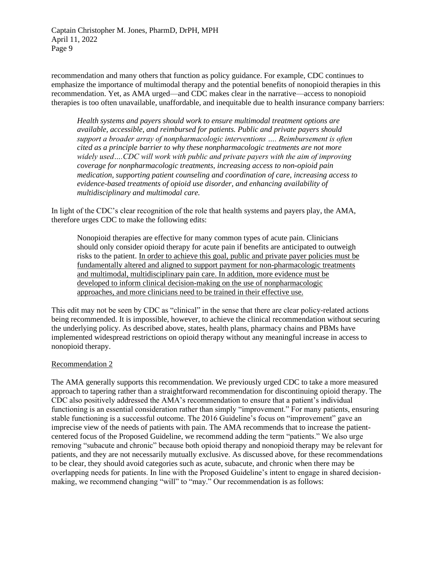recommendation and many others that function as policy guidance. For example, CDC continues to emphasize the importance of multimodal therapy and the potential benefits of nonopioid therapies in this recommendation. Yet, as AMA urged—and CDC makes clear in the narrative—access to nonopioid therapies is too often unavailable, unaffordable, and inequitable due to health insurance company barriers:

*Health systems and payers should work to ensure multimodal treatment options are available, accessible, and reimbursed for patients. Public and private payers should support a broader array of nonpharmacologic interventions …. Reimbursement is often cited as a principle barrier to why these nonpharmacologic treatments are not more widely used….CDC will work with public and private payers with the aim of improving coverage for nonpharmacologic treatments, increasing access to non-opioid pain medication, supporting patient counseling and coordination of care, increasing access to evidence-based treatments of opioid use disorder, and enhancing availability of multidisciplinary and multimodal care.*

In light of the CDC's clear recognition of the role that health systems and payers play, the AMA, therefore urges CDC to make the following edits:

Nonopioid therapies are effective for many common types of acute pain. Clinicians should only consider opioid therapy for acute pain if benefits are anticipated to outweigh risks to the patient. In order to achieve this goal, public and private payer policies must be fundamentally altered and aligned to support payment for non-pharmacologic treatments and multimodal, multidisciplinary pain care. In addition, more evidence must be developed to inform clinical decision-making on the use of nonpharmacologic approaches, and more clinicians need to be trained in their effective use.

This edit may not be seen by CDC as "clinical" in the sense that there are clear policy-related actions being recommended. It is impossible, however, to achieve the clinical recommendation without securing the underlying policy. As described above, states, health plans, pharmacy chains and PBMs have implemented widespread restrictions on opioid therapy without any meaningful increase in access to nonopioid therapy.

#### Recommendation 2

The AMA generally supports this recommendation. We previously urged CDC to take a more measured approach to tapering rather than a straightforward recommendation for discontinuing opioid therapy. The CDC also positively addressed the AMA's recommendation to ensure that a patient's individual functioning is an essential consideration rather than simply "improvement." For many patients, ensuring stable functioning is a successful outcome. The 2016 Guideline's focus on "improvement" gave an imprecise view of the needs of patients with pain. The AMA recommends that to increase the patientcentered focus of the Proposed Guideline, we recommend adding the term "patients." We also urge removing "subacute and chronic" because both opioid therapy and nonopioid therapy may be relevant for patients, and they are not necessarily mutually exclusive. As discussed above, for these recommendations to be clear, they should avoid categories such as acute, subacute, and chronic when there may be overlapping needs for patients. In line with the Proposed Guideline's intent to engage in shared decisionmaking, we recommend changing "will" to "may." Our recommendation is as follows: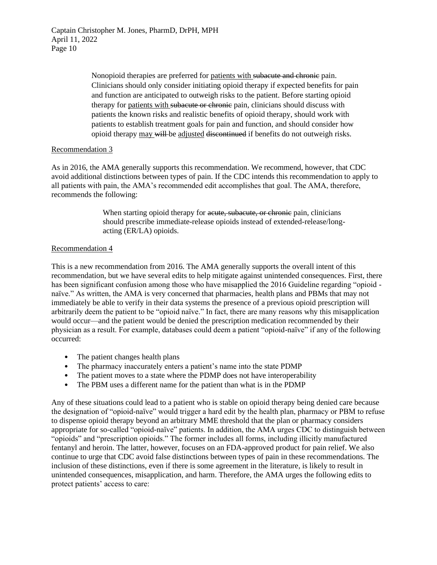> Nonopioid therapies are preferred for patients with subacute and chronic pain. Clinicians should only consider initiating opioid therapy if expected benefits for pain and function are anticipated to outweigh risks to the patient. Before starting opioid therapy for patients with subacute or chronic pain, clinicians should discuss with patients the known risks and realistic benefits of opioid therapy, should work with patients to establish treatment goals for pain and function, and should consider how opioid therapy may will be adjusted discontinued if benefits do not outweigh risks.

## Recommendation 3

As in 2016, the AMA generally supports this recommendation. We recommend, however, that CDC avoid additional distinctions between types of pain. If the CDC intends this recommendation to apply to all patients with pain, the AMA's recommended edit accomplishes that goal. The AMA, therefore, recommends the following:

> When starting opioid therapy for acute, subacute, or chronic pain, clinicians should prescribe immediate-release opioids instead of extended-release/longacting (ER/LA) opioids.

## Recommendation 4

This is a new recommendation from 2016. The AMA generally supports the overall intent of this recommendation, but we have several edits to help mitigate against unintended consequences. First, there has been significant confusion among those who have misapplied the 2016 Guideline regarding "opioid naïve." As written, the AMA is very concerned that pharmacies, health plans and PBMs that may not immediately be able to verify in their data systems the presence of a previous opioid prescription will arbitrarily deem the patient to be "opioid naïve." In fact, there are many reasons why this misapplication would occur—and the patient would be denied the prescription medication recommended by their physician as a result. For example, databases could deem a patient "opioid-naïve" if any of the following occurred:

- The patient changes health plans
- The pharmacy inaccurately enters a patient's name into the state PDMP
- The patient moves to a state where the PDMP does not have interoperability
- The PBM uses a different name for the patient than what is in the PDMP

Any of these situations could lead to a patient who is stable on opioid therapy being denied care because the designation of "opioid-naïve" would trigger a hard edit by the health plan, pharmacy or PBM to refuse to dispense opioid therapy beyond an arbitrary MME threshold that the plan or pharmacy considers appropriate for so-called "opioid-naïve" patients. In addition, the AMA urges CDC to distinguish between "opioids" and "prescription opioids." The former includes all forms, including illicitly manufactured fentanyl and heroin. The latter, however, focuses on an FDA-approved product for pain relief. We also continue to urge that CDC avoid false distinctions between types of pain in these recommendations. The inclusion of these distinctions, even if there is some agreement in the literature, is likely to result in unintended consequences, misapplication, and harm. Therefore, the AMA urges the following edits to protect patients' access to care: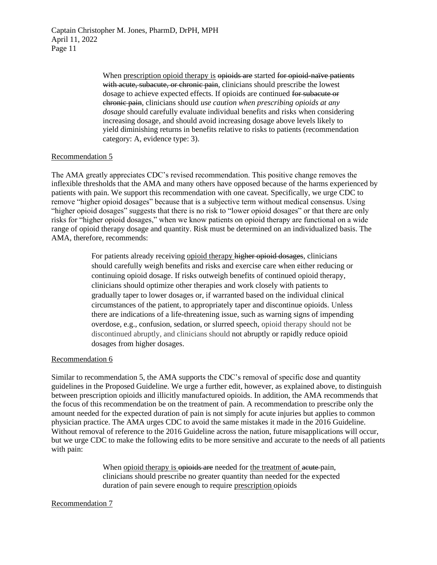> When prescription opioid therapy is opioids are started for opioid-naïve patients with acute, subacute, or chronic pain, clinicians should prescribe the lowest dosage to achieve expected effects. If opioids are continued for subacute or chronic pain, clinicians should *use caution when prescribing opioids at any dosage* should carefully evaluate individual benefits and risks when considering increasing dosage, and should avoid increasing dosage above levels likely to yield diminishing returns in benefits relative to risks to patients (recommendation category: A, evidence type: 3).

## Recommendation 5

The AMA greatly appreciates CDC's revised recommendation. This positive change removes the inflexible thresholds that the AMA and many others have opposed because of the harms experienced by patients with pain. We support this recommendation with one caveat. Specifically, we urge CDC to remove "higher opioid dosages" because that is a subjective term without medical consensus. Using "higher opioid dosages" suggests that there is no risk to "lower opioid dosages" or that there are only risks for "higher opioid dosages," when we know patients on opioid therapy are functional on a wide range of opioid therapy dosage and quantity. Risk must be determined on an individualized basis. The AMA, therefore, recommends:

> For patients already receiving opioid therapy higher opioid dosages, clinicians should carefully weigh benefits and risks and exercise care when either reducing or continuing opioid dosage. If risks outweigh benefits of continued opioid therapy, clinicians should optimize other therapies and work closely with patients to gradually taper to lower dosages or, if warranted based on the individual clinical circumstances of the patient, to appropriately taper and discontinue opioids. Unless there are indications of a life-threatening issue, such as warning signs of impending overdose, e.g., confusion, sedation, or slurred speech, opioid therapy should not be discontinued abruptly, and clinicians should not abruptly or rapidly reduce opioid dosages from higher dosages.

#### Recommendation 6

Similar to recommendation 5, the AMA supports the CDC's removal of specific dose and quantity guidelines in the Proposed Guideline. We urge a further edit, however, as explained above, to distinguish between prescription opioids and illicitly manufactured opioids. In addition, the AMA recommends that the focus of this recommendation be on the treatment of pain. A recommendation to prescribe only the amount needed for the expected duration of pain is not simply for acute injuries but applies to common physician practice. The AMA urges CDC to avoid the same mistakes it made in the 2016 Guideline. Without removal of reference to the 2016 Guideline across the nation, future misapplications will occur, but we urge CDC to make the following edits to be more sensitive and accurate to the needs of all patients with pain:

> When opioid therapy is opioids are needed for the treatment of acute pain, clinicians should prescribe no greater quantity than needed for the expected duration of pain severe enough to require prescription opioids

#### Recommendation 7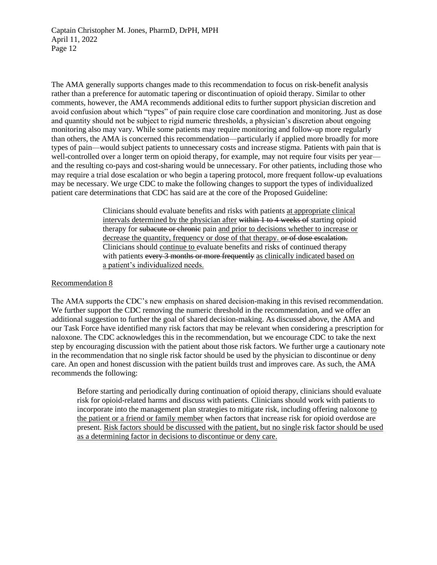The AMA generally supports changes made to this recommendation to focus on risk-benefit analysis rather than a preference for automatic tapering or discontinuation of opioid therapy. Similar to other comments, however, the AMA recommends additional edits to further support physician discretion and avoid confusion about which "types" of pain require close care coordination and monitoring. Just as dose and quantity should not be subject to rigid numeric thresholds, a physician's discretion about ongoing monitoring also may vary. While some patients may require monitoring and follow-up more regularly than others, the AMA is concerned this recommendation—particularly if applied more broadly for more types of pain—would subject patients to unnecessary costs and increase stigma. Patients with pain that is well-controlled over a longer term on opioid therapy, for example, may not require four visits per year and the resulting co-pays and cost-sharing would be unnecessary. For other patients, including those who may require a trial dose escalation or who begin a tapering protocol, more frequent follow-up evaluations may be necessary. We urge CDC to make the following changes to support the types of individualized patient care determinations that CDC has said are at the core of the Proposed Guideline:

> Clinicians should evaluate benefits and risks with patients at appropriate clinical intervals determined by the physician after within 1 to 4 weeks of starting opioid therapy for subacute or chronic pain and prior to decisions whether to increase or decrease the quantity, frequency or dose of that therapy. or of dose escalation. Clinicians should continue to evaluate benefits and risks of continued therapy with patients every 3 months or more frequently as clinically indicated based on a patient's individualized needs.

## Recommendation 8

The AMA supports the CDC's new emphasis on shared decision-making in this revised recommendation. We further support the CDC removing the numeric threshold in the recommendation, and we offer an additional suggestion to further the goal of shared decision-making. As discussed above, the AMA and our Task Force have identified many risk factors that may be relevant when considering a prescription for naloxone. The CDC acknowledges this in the recommendation, but we encourage CDC to take the next step by encouraging discussion with the patient about those risk factors. We further urge a cautionary note in the recommendation that no single risk factor should be used by the physician to discontinue or deny care. An open and honest discussion with the patient builds trust and improves care. As such, the AMA recommends the following:

Before starting and periodically during continuation of opioid therapy, clinicians should evaluate risk for opioid-related harms and discuss with patients*.* Clinicians should work with patients to incorporate into the management plan strategies to mitigate risk, including offering naloxone to the patient or a friend or family member when factors that increase risk for opioid overdose are present. Risk factors should be discussed with the patient, but no single risk factor should be used as a determining factor in decisions to discontinue or deny care.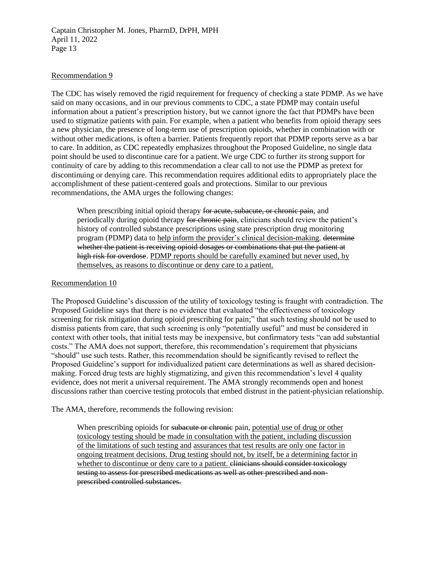## Recommendation 9

The CDC has wisely removed the rigid requirement for frequency of checking a state PDMP. As we have said on many occasions, and in our previous comments to CDC, a state PDMP may contain useful information about a patient's prescription history, but we cannot ignore the fact that PDMPs have been used to stigmatize patients with pain. For example, when a patient who benefits from opioid therapy sees a new physician, the presence of long-term use of prescription opioids, whether in combination with or without other medications, is often a barrier. Patients frequently report that PDMP reports serve as a bar to care. In addition, as CDC repeatedly emphasizes throughout the Proposed Guideline, no single data point should be used to discontinue care for a patient. We urge CDC to further its strong support for continuity of care by adding to this recommendation a clear call to not use the PDMP as pretext for discontinuing or denying care. This recommendation requires additional edits to appropriately place the accomplishment of these patient-centered goals and protections. Similar to our previous recommendations, the AMA urges the following changes:

When prescribing initial opioid therapy for acute, subacute, or chronic pain, and periodically during opioid therapy for chronic pain, clinicians should review the patient's history of controlled substance prescriptions using state prescription drug monitoring program (PDMP) data to help inform the provider's clinical decision-making. determine whether the patient is receiving opioid dosages or combinations that put the patient at high risk for overdose. PDMP reports should be carefully examined but never used, by themselves, as reasons to discontinue or deny care to a patient.

#### Recommendation 10

The Proposed Guideline's discussion of the utility of toxicology testing is fraught with contradiction. The Proposed Guideline says that there is no evidence that evaluated "the effectiveness of toxicology screening for risk mitigation during opioid prescribing for pain;" that such testing should not be used to dismiss patients from care, that such screening is only "potentially useful" and must be considered in context with other tools, that initial tests may be inexpensive, but confirmatory tests "can add substantial costs." The AMA does not support, therefore, this recommendation's requirement that physicians "should" use such tests. Rather, this recommendation should be significantly revised to reflect the Proposed Guideline's support for individualized patient care determinations as well as shared decisionmaking. Forced drug tests are highly stigmatizing, and given this recommendation's level 4 quality evidence, does not merit a universal requirement. The AMA strongly recommends open and honest discussions rather than coercive testing protocols that embed distrust in the patient-physician relationship.

The AMA, therefore, recommends the following revision:

When prescribing opioids for subacute or chronic pain, potential use of drug or other toxicology testing should be made in consultation with the patient, including discussion of the limitations of such testing and assurances that test results are only one factor in ongoing treatment decisions. Drug testing should not, by itself, be a determining factor in whether to discontinue or deny care to a patient. <del>clinicians should consider toxicology</del> testing to assess for prescribed medications as well as other prescribed and nonprescribed controlled substances.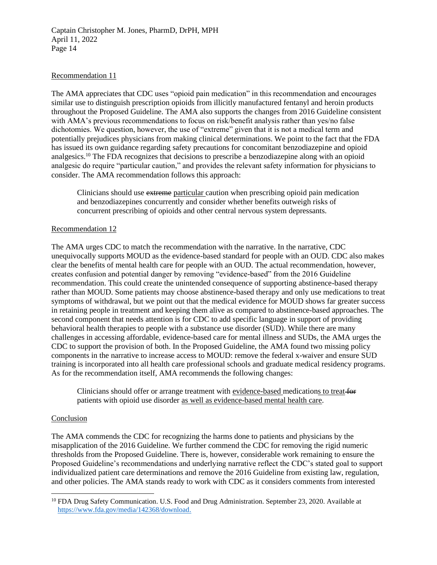### Recommendation 11

The AMA appreciates that CDC uses "opioid pain medication" in this recommendation and encourages similar use to distinguish prescription opioids from illicitly manufactured fentanyl and heroin products throughout the Proposed Guideline. The AMA also supports the changes from 2016 Guideline consistent with AMA's previous recommendations to focus on risk/benefit analysis rather than yes/no false dichotomies. We question, however, the use of "extreme" given that it is not a medical term and potentially prejudices physicians from making clinical determinations. We point to the fact that the FDA has issued its own guidance regarding safety precautions for concomitant benzodiazepine and opioid analgesics.<sup>10</sup> The FDA recognizes that decisions to prescribe a benzodiazepine along with an opioid analgesic do require "particular caution," and provides the relevant safety information for physicians to consider. The AMA recommendation follows this approach:

Clinicians should use extreme particular caution when prescribing opioid pain medication and benzodiazepines concurrently and consider whether benefits outweigh risks of concurrent prescribing of opioids and other central nervous system depressants.

#### Recommendation 12

The AMA urges CDC to match the recommendation with the narrative. In the narrative, CDC unequivocally supports MOUD as the evidence-based standard for people with an OUD. CDC also makes clear the benefits of mental health care for people with an OUD. The actual recommendation, however, creates confusion and potential danger by removing "evidence-based" from the 2016 Guideline recommendation. This could create the unintended consequence of supporting abstinence-based therapy rather than MOUD. Some patients may choose abstinence-based therapy and only use medications to treat symptoms of withdrawal, but we point out that the medical evidence for MOUD shows far greater success in retaining people in treatment and keeping them alive as compared to abstinence-based approaches. The second component that needs attention is for CDC to add specific language in support of providing behavioral health therapies to people with a substance use disorder (SUD). While there are many challenges in accessing affordable, evidence-based care for mental illness and SUDs, the AMA urges the CDC to support the provision of both. In the Proposed Guideline, the AMA found two missing policy components in the narrative to increase access to MOUD: remove the federal x-waiver and ensure SUD training is incorporated into all health care professional schools and graduate medical residency programs. As for the recommendation itself, AMA recommends the following changes:

Clinicians should offer or arrange treatment with evidence-based medications to treat for patients with opioid use disorder as well as evidence-based mental health care.

#### **Conclusion**

The AMA commends the CDC for recognizing the harms done to patients and physicians by the misapplication of the 2016 Guideline. We further commend the CDC for removing the rigid numeric thresholds from the Proposed Guideline. There is, however, considerable work remaining to ensure the Proposed Guideline's recommendations and underlying narrative reflect the CDC's stated goal to support individualized patient care determinations and remove the 2016 Guideline from existing law, regulation, and other policies. The AMA stands ready to work with CDC as it considers comments from interested

<sup>&</sup>lt;sup>10</sup> FDA Drug Safety Communication. U.S. Food and Drug Administration. September 23, 2020. Available at [https://www.fda.gov/media/142368/download.](https://www.fda.gov/media/142368/download)